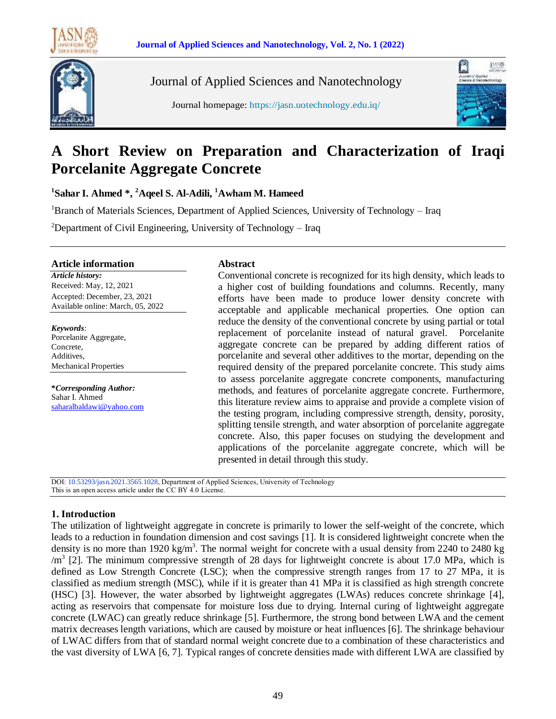

Journal of Applied Sciences and Nanotechnology

Journal homepage: https://jasn.uotechnology.edu.iq/



# **A Short Review on Preparation and Characterization of Iraqi Porcelanite Aggregate Concrete**

**1 Sahar I. Ahmed \*, <sup>2</sup>Aqeel S. Al-Adili, <sup>1</sup>Awham M. Hameed**

<sup>1</sup>Branch of Materials Sciences, Department of Applied Sciences, University of Technology – Iraq

<sup>2</sup>Department of Civil Engineering, University of Technology – Iraq

### **Article information**

*Article history:* Received: May, 12, 2021 Accepted: December, 23, 2021 Available online: March, 05, 2022

*Keywords*: Porcelanite Aggregate, Concrete, Additives, Mechanical Properties

**\****Corresponding Author:* Sahar I. Ahmed [saharalbaldawi@yahoo.com](mailto:email@domain.com)

## **Abstract**

Conventional concrete is recognized for its high density, which leads to a higher cost of building foundations and columns. Recently, many efforts have been made to produce lower density concrete with acceptable and applicable mechanical properties. One option can reduce the density of the conventional concrete by using partial or total replacement of porcelanite instead of natural gravel. Porcelanite aggregate concrete can be prepared by adding different ratios of porcelanite and several other additives to the mortar, depending on the required density of the prepared porcelanite concrete. This study aims to assess porcelanite aggregate concrete components, manufacturing methods, and features of porcelanite aggregate concrete. Furthermore, this literature review aims to appraise and provide a complete vision of the testing program, including compressive strength, density, porosity, splitting tensile strength, and water absorption of porcelanite aggregate concrete. Also, this paper focuses on studying the development and applications of the porcelanite aggregate concrete, which will be presented in detail through this study.

DOI: 10.53293/jasn.2021.3565.1028, Department of Applied Sciences, University of Technology This is an open access article under the CC BY 4.0 License.

# **1. Introduction**

The utilization of lightweight aggregate in concrete is primarily to lower the self-weight of the concrete, which leads to a reduction in foundation dimension and cost savings [1]. It is considered lightweight concrete when the density is no more than 1920 kg/m<sup>3</sup>. The normal weight for concrete with a usual density from 2240 to 2480 kg  $/m<sup>3</sup>$  [2]. The minimum compressive strength of 28 days for lightweight concrete is about 17.0 MPa, which is defined as Low Strength Concrete (LSC); when the compressive strength ranges from 17 to 27 MPa, it is classified as medium strength (MSC), while if it is greater than 41 MPa it is classified as high strength concrete (HSC) [3]. However, the water absorbed by lightweight aggregates (LWAs) reduces concrete shrinkage [4], acting as reservoirs that compensate for moisture loss due to drying. Internal curing of lightweight aggregate concrete (LWAC) can greatly reduce shrinkage [5]. Furthermore, the strong bond between LWA and the cement matrix decreases length variations, which are caused by moisture or heat influences [6]. The shrinkage behaviour of LWAC differs from that of standard normal weight concrete due to a combination of these characteristics and the vast diversity of LWA [6, 7]. Typical ranges of concrete densities made with different LWA are classified by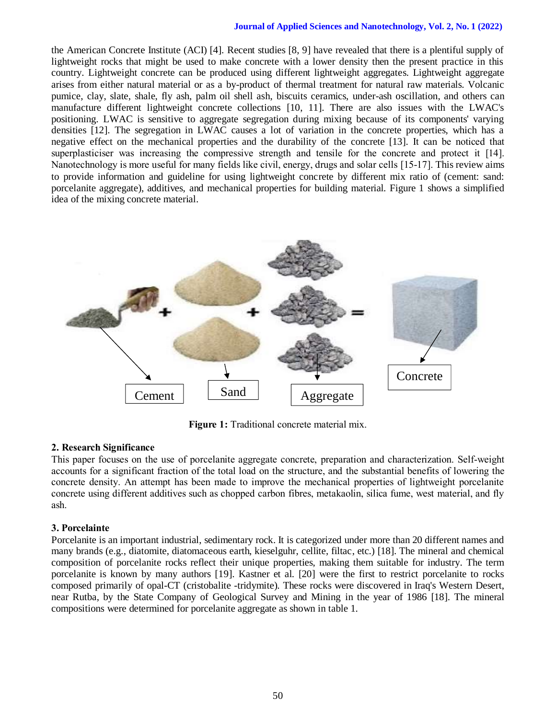#### **Journal of Applied Sciences and Nanotechnology, Vol. 2, No. 1 (2022)**

the American Concrete Institute (ACI) [4]. Recent studies [8, 9] have revealed that there is a plentiful supply of lightweight rocks that might be used to make concrete with a lower density then the present practice in this country. Lightweight concrete can be produced using different lightweight aggregates. Lightweight aggregate arises from either natural material or as a by-product of thermal treatment for natural raw materials. Volcanic pumice, clay, slate, shale, fly ash, palm oil shell ash, biscuits ceramics, under-ash oscillation, and others can manufacture different lightweight concrete collections [10, 11]. There are also issues with the LWAC's positioning. LWAC is sensitive to aggregate segregation during mixing because of its components' varying densities [12]. The segregation in LWAC causes a lot of variation in the concrete properties, which has a negative effect on the mechanical properties and the durability of the concrete [13]. It can be noticed that superplasticiser was increasing the compressive strength and tensile for the concrete and protect it [14]. Nanotechnology is more useful for many fields like civil, energy, drugs and solar cells [15-17]. This review aims to provide information and guideline for using lightweight concrete by different mix ratio of (cement: sand: porcelanite aggregate), additives, and mechanical properties for building material. Figure 1 shows a simplified idea of the mixing concrete material.



**Figure 1:** Traditional concrete material mix.

# **2. Research Significance**

This paper focuses on the use of porcelanite aggregate concrete, preparation and characterization. Self-weight accounts for a significant fraction of the total load on the structure, and the substantial benefits of lowering the concrete density. An attempt has been made to improve the mechanical properties of lightweight porcelanite concrete using different additives such as chopped carbon fibres, metakaolin, silica fume, west material, and fly ash.

# **3. Porcelainte**

Porcelanite is an important industrial, sedimentary rock. It is categorized under more than 20 different names and many brands (e.g., diatomite, diatomaceous earth, kieselguhr, cellite, filtac, etc.) [18]. The mineral and chemical composition of porcelanite rocks reflect their unique properties, making them suitable for industry. The term porcelanite is known by many authors [19]. Kastner et al. [20] were the first to restrict porcelanite to rocks composed primarily of opal-CT (cristobalite -tridymite). These rocks were discovered in Iraq's Western Desert, near Rutba, by the State Company of Geological Survey and Mining in the year of 1986 [18]. The mineral compositions were determined for porcelanite aggregate as shown in table 1.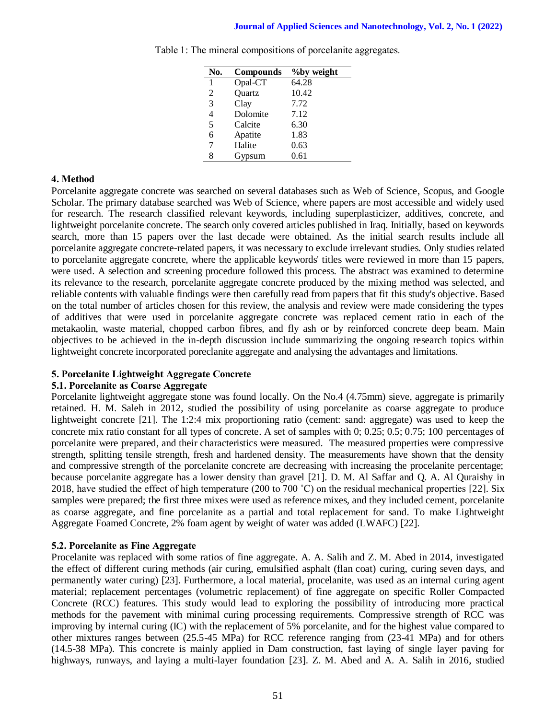| No.            | <b>Compounds</b> | <i>Y</i> <sub>oby</sub> weight |
|----------------|------------------|--------------------------------|
| 1              | Opal-CT          | 64.28                          |
| 2              | Quartz           | 10.42                          |
| 3              | Clay             | 7.72                           |
| $\overline{4}$ | Dolomite         | 7.12                           |
| 5              | Calcite          | 6.30                           |
| 6              | Apatite          | 1.83                           |
| 7              | Halite           | 0.63                           |
| 8              | Gypsum           | 0.61                           |

Table 1: The mineral compositions of porcelanite aggregates.

# **4. Method**

Porcelanite aggregate concrete was searched on several databases such as Web of Science, Scopus, and Google Scholar. The primary database searched was Web of Science, where papers are most accessible and widely used for research. The research classified relevant keywords, including superplasticizer, additives, concrete, and lightweight porcelanite concrete. The search only covered articles published in Iraq. Initially, based on keywords search, more than 15 papers over the last decade were obtained. As the initial search results include all porcelanite aggregate concrete-related papers, it was necessary to exclude irrelevant studies. Only studies related to porcelanite aggregate concrete, where the applicable keywords' titles were reviewed in more than 15 papers, were used. A selection and screening procedure followed this process. The abstract was examined to determine its relevance to the research, porcelanite aggregate concrete produced by the mixing method was selected, and reliable contents with valuable findings were then carefully read from papers that fit this study's objective. Based on the total number of articles chosen for this review, the analysis and review were made considering the types of additives that were used in porcelanite aggregate concrete was replaced cement ratio in each of the metakaolin, waste material, chopped carbon fibres, and fly ash or by reinforced concrete deep beam. Main objectives to be achieved in the in-depth discussion include summarizing the ongoing research topics within lightweight concrete incorporated poreclanite aggregate and analysing the advantages and limitations.

# **5. Porcelanite Lightweight Aggregate Concrete**

# **5.1. Porcelanite as Coarse Aggregate**

Porcelanite lightweight aggregate stone was found locally. On the No.4 (4.75mm) sieve, aggregate is primarily retained. H. M. Saleh in 2012, studied the possibility of using porcelanite as coarse aggregate to produce lightweight concrete [21]. The 1:2:4 mix proportioning ratio (cement: sand: aggregate) was used to keep the concrete mix ratio constant for all types of concrete. A set of samples with 0; 0.25; 0.5; 0.75; 100 percentages of porcelanite were prepared, and their characteristics were measured. The measured properties were compressive strength, splitting tensile strength, fresh and hardened density. The measurements have shown that the density and compressive strength of the porcelanite concrete are decreasing with increasing the procelanite percentage; because porcelanite aggregate has a lower density than gravel [21]. D. M. Al Saffar and Q. A. Al Quraishy in 2018, have studied the effect of high temperature (200 to 700 ˚C) on the residual mechanical properties [22]. Six samples were prepared; the first three mixes were used as reference mixes, and they included cement, porcelanite as coarse aggregate, and fine porcelanite as a partial and total replacement for sand. To make Lightweight Aggregate Foamed Concrete, 2% foam agent by weight of water was added (LWAFC) [22].

# **5.2. Porcelanite as Fine Aggregate**

Procelanite was replaced with some ratios of fine aggregate. A. A. Salih and Z. M. Abed in 2014, investigated the effect of different curing methods (air curing, emulsified asphalt (flan coat) curing, curing seven days, and permanently water curing) [23]. Furthermore, a local material, procelanite, was used as an internal curing agent material; replacement percentages (volumetric replacement) of fine aggregate on specific Roller Compacted Concrete (RCC) features. This study would lead to exploring the possibility of introducing more practical methods for the pavement with minimal curing processing requirements. Compressive strength of RCC was improving by internal curing (IC) with the replacement of 5% porcelanite, and for the highest value compared to other mixtures ranges between (25.5-45 MPa) for RCC reference ranging from (23-41 MPa) and for others (14.5-38 MPa). This concrete is mainly applied in Dam construction, fast laying of single layer paving for highways, runways, and laying a multi-layer foundation [23]. Z. M. Abed and A. A. Salih in 2016, studied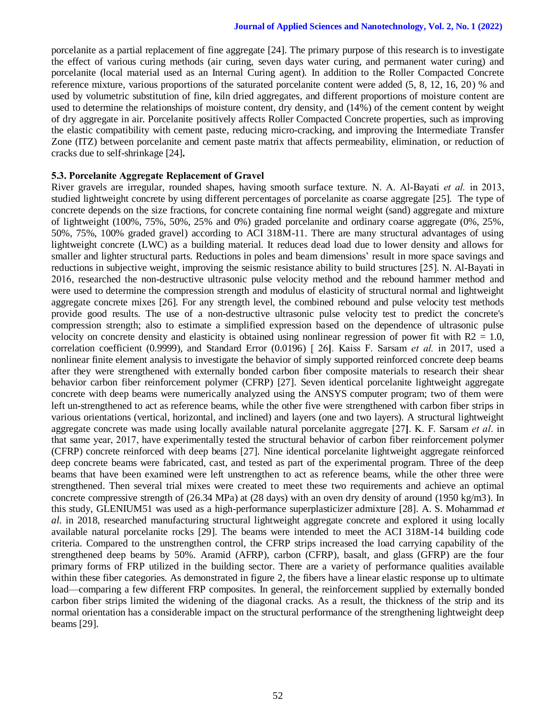porcelanite as a partial replacement of fine aggregate [24]. The primary purpose of this research is to investigate the effect of various curing methods (air curing, seven days water curing, and permanent water curing) and porcelanite (local material used as an Internal Curing agent). In addition to the Roller Compacted Concrete reference mixture, various proportions of the saturated porcelanite content were added (5, 8, 12, 16, 20) % and used by volumetric substitution of fine, kiln dried aggregates, and different proportions of moisture content are used to determine the relationships of moisture content, dry density, and (14%) of the cement content by weight of dry aggregate in air. Porcelanite positively affects Roller Compacted Concrete properties, such as improving the elastic compatibility with cement paste, reducing micro-cracking, and improving the Intermediate Transfer Zone (ITZ) between porcelanite and cement paste matrix that affects permeability, elimination, or reduction of cracks due to self-shrinkage [24]**.**

## **5.3. Porcelanite Aggregate Replacement of Gravel**

River gravels are irregular, rounded shapes, having smooth surface texture. N. A. Al-Bayati *et al.* in 2013, studied lightweight concrete by using different percentages of porcelanite as coarse aggregate [25]. The type of concrete depends on the size fractions, for concrete containing fine normal weight (sand) aggregate and mixture of lightweight (100%, 75%, 50%, 25% and 0%) graded porcelanite and ordinary coarse aggregate (0%, 25%, 50%, 75%, 100% graded gravel) according to ACI 318M-11. There are many structural advantages of using lightweight concrete (LWC) as a building material. It reduces dead load due to lower density and allows for smaller and lighter structural parts. Reductions in poles and beam dimensions' result in more space savings and reductions in subjective weight, improving the seismic resistance ability to build structures [25]. N. Al-Bayati in 2016, researched the non-destructive ultrasonic pulse velocity method and the rebound hammer method and were used to determine the compression strength and modulus of elasticity of structural normal and lightweight aggregate concrete mixes [26]. For any strength level, the combined rebound and pulse velocity test methods provide good results. The use of a non-destructive ultrasonic pulse velocity test to predict the concrete's compression strength; also to estimate a simplified expression based on the dependence of ultrasonic pulse velocity on concrete density and elasticity is obtained using nonlinear regression of power fit with  $R2 = 1.0$ , correlation coefficient (0.9999), and Standard Error (0.0196) [ 26**]**. Kaiss F. Sarsam *et al.* in 2017, used a nonlinear finite element analysis to investigate the behavior of simply supported reinforced concrete deep beams after they were strengthened with externally bonded carbon fiber composite materials to research their shear behavior carbon fiber reinforcement polymer (CFRP) [27]. Seven identical porcelanite lightweight aggregate concrete with deep beams were numerically analyzed using the ANSYS computer program; two of them were left un-strengthened to act as reference beams, while the other five were strengthened with carbon fiber strips in various orientations (vertical, horizontal, and inclined) and layers (one and two layers). A structural lightweight aggregate concrete was made using locally available natural porcelanite aggregate [27**]**. K. F. Sarsam *et al*. in that same year, 2017, have experimentally tested the structural behavior of carbon fiber reinforcement polymer (CFRP) concrete reinforced with deep beams [27]. Nine identical porcelanite lightweight aggregate reinforced deep concrete beams were fabricated, cast, and tested as part of the experimental program. Three of the deep beams that have been examined were left unstrengthen to act as reference beams, while the other three were strengthened. Then several trial mixes were created to meet these two requirements and achieve an optimal concrete compressive strength of (26.34 MPa) at (28 days) with an oven dry density of around (1950 kg/m3). In this study, GLENIUM51 was used as a high-performance superplasticizer admixture [28]. A. S. Mohammad *et al*. in 2018, researched manufacturing structural lightweight aggregate concrete and explored it using locally available natural porcelanite rocks [29]. The beams were intended to meet the ACI 318M-14 building code criteria. Compared to the unstrengthen control, the CFRP strips increased the load carrying capability of the strengthened deep beams by 50%. Aramid (AFRP), carbon (CFRP), basalt, and glass (GFRP) are the four primary forms of FRP utilized in the building sector. There are a variety of performance qualities available within these fiber categories. As demonstrated in figure 2, the fibers have a linear elastic response up to ultimate load—comparing a few different FRP composites. In general, the reinforcement supplied by externally bonded carbon fiber strips limited the widening of the diagonal cracks. As a result, the thickness of the strip and its normal orientation has a considerable impact on the structural performance of the strengthening lightweight deep beams [29].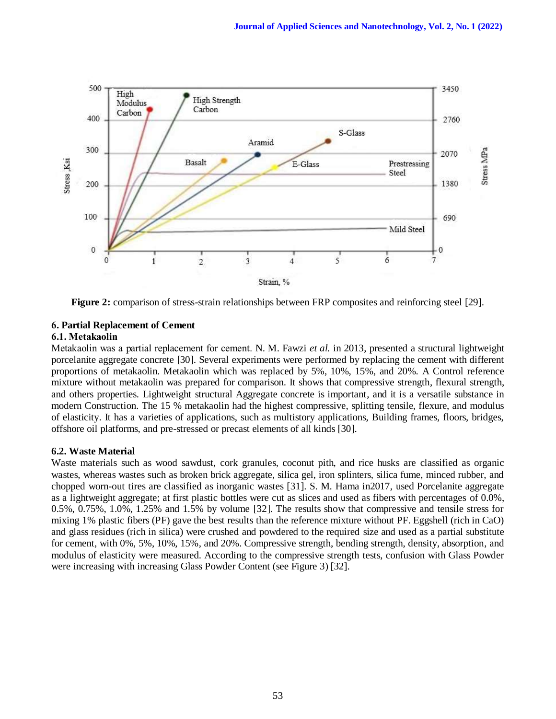

**Figure 2:** comparison of stress-strain relationships between FRP composites and reinforcing steel [29].

# **6. Partial Replacement of Cement**

# **6.1. Metakaolin**

Metakaolin was a partial replacement for cement. N. M. Fawzi *et al.* in 2013, presented a structural lightweight porcelanite aggregate concrete [30]. Several experiments were performed by replacing the cement with different proportions of metakaolin. Metakaolin which was replaced by 5%, 10%, 15%, and 20%. A Control reference mixture without metakaolin was prepared for comparison. It shows that compressive strength, flexural strength, and others properties. Lightweight structural Aggregate concrete is important, and it is a versatile substance in modern Construction. The 15 % metakaolin had the highest compressive, splitting tensile, flexure, and modulus of elasticity. It has a varieties of applications, such as multistory applications, Building frames, floors, bridges, offshore oil platforms, and pre-stressed or precast elements of all kinds [30].

# **6.2. Waste Material**

Waste materials such as wood sawdust, cork granules, coconut pith, and rice husks are classified as organic wastes, whereas wastes such as broken brick aggregate, silica gel, iron splinters, silica fume, minced rubber, and chopped worn-out tires are classified as inorganic wastes [31]. S. M. Hama in2017, used Porcelanite aggregate as a lightweight aggregate; at first plastic bottles were cut as slices and used as fibers with percentages of 0.0%, 0.5%, 0.75%, 1.0%, 1.25% and 1.5% by volume [32]. The results show that compressive and tensile stress for mixing 1% plastic fibers (PF) gave the best results than the reference mixture without PF. Eggshell (rich in CaO) and glass residues (rich in silica) were crushed and powdered to the required size and used as a partial substitute for cement, with 0%, 5%, 10%, 15%, and 20%. Compressive strength, bending strength, density, absorption, and modulus of elasticity were measured. According to the compressive strength tests, confusion with Glass Powder were increasing with increasing Glass Powder Content (see Figure 3) [32].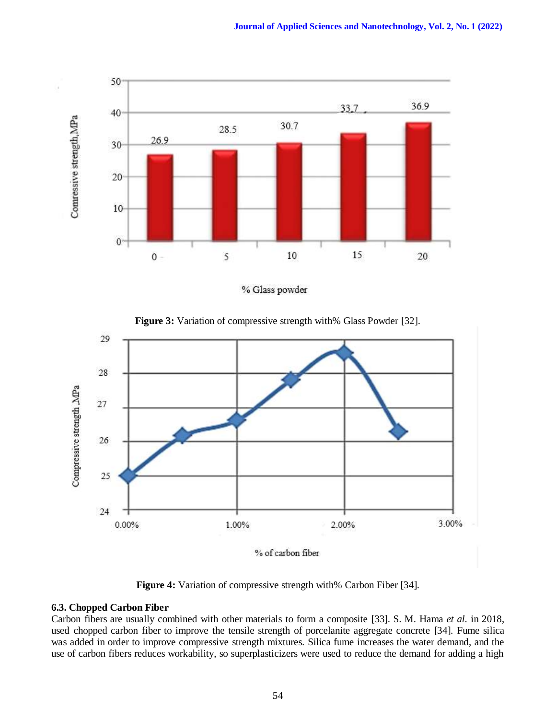

% Glass powder

**Figure 3:** Variation of compressive strength with% Glass Powder [32].



**Figure 4:** Variation of compressive strength with% Carbon Fiber [34].

# **6.3. Chopped Carbon Fiber**

Carbon fibers are usually combined with other materials to form a composite [33]. S. M. Hama *et al.* in 2018, used chopped carbon fiber to improve the tensile strength of porcelanite aggregate concrete [34]. Fume silica was added in order to improve compressive strength mixtures. Silica fume increases the water demand, and the use of carbon fibers reduces workability, so superplasticizers were used to reduce the demand for adding a high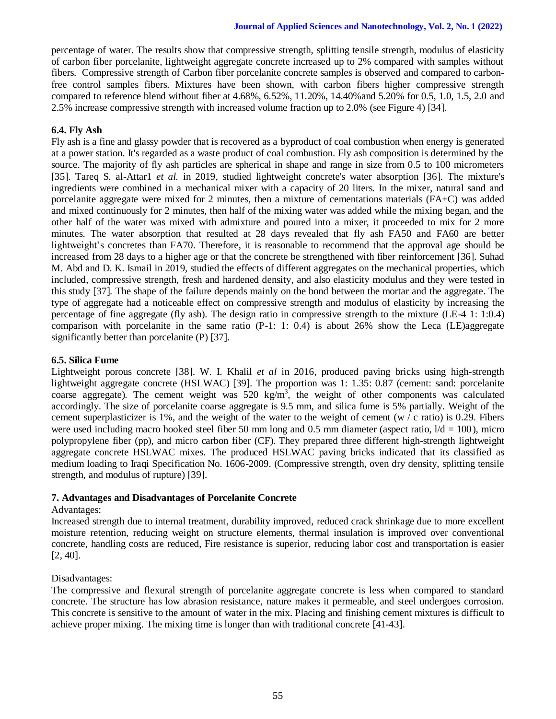percentage of water. The results show that compressive strength, splitting tensile strength, modulus of elasticity of carbon fiber porcelanite, lightweight aggregate concrete increased up to 2% compared with samples without fibers. Compressive strength of Carbon fiber porcelanite concrete samples is observed and compared to carbonfree control samples fibers. Mixtures have been shown, with carbon fibers higher compressive strength compared to reference blend without fiber at 4.68%, 6.52%, 11.20%, 14.40%and 5.20% for 0.5, 1.0, 1.5, 2.0 and 2.5% increase compressive strength with increased volume fraction up to 2.0% (see Figure 4) [34].

# **6.4. Fly Ash**

Fly ash is a fine and glassy powder that is recovered as a byproduct of coal combustion when energy is generated at a power station. It's regarded as a waste product of coal combustion. Fly ash composition is determined by the source. The majority of fly ash particles are spherical in shape and range in size from 0.5 to 100 micrometers [35]. Tareq S. al-Attar1 *et al.* in 2019, studied lightweight concrete's water absorption [36]. The mixture's ingredients were combined in a mechanical mixer with a capacity of 20 liters. In the mixer, natural sand and porcelanite aggregate were mixed for 2 minutes, then a mixture of cementations materials (FA+C) was added and mixed continuously for 2 minutes, then half of the mixing water was added while the mixing began, and the other half of the water was mixed with admixture and poured into a mixer, it proceeded to mix for 2 more minutes. The water absorption that resulted at 28 days revealed that fly ash FA50 and FA60 are better lightweight's concretes than FA70. Therefore, it is reasonable to recommend that the approval age should be increased from 28 days to a higher age or that the concrete be strengthened with fiber reinforcement [36]. Suhad M. Abd and D. K. Ismail in 2019, studied the effects of different aggregates on the mechanical properties, which included, compressive strength, fresh and hardened density, and also elasticity modulus and they were tested in this study [37]. The shape of the failure depends mainly on the bond between the mortar and the aggregate. The type of aggregate had a noticeable effect on compressive strength and modulus of elasticity by increasing the percentage of fine aggregate (fly ash). The design ratio in compressive strength to the mixture (LE-4 1: 1:0.4) comparison with porcelanite in the same ratio  $(P-1: 1: 0.4)$  is about 26% show the Leca (LE)aggregate significantly better than porcelanite (P) [37].

# **6.5. Silica Fume**

Lightweight porous concrete [38]. W. I. Khalil *et al* in 2016, produced paving bricks using high-strength lightweight aggregate concrete (HSLWAC) [39]. The proportion was 1: 1.35: 0.87 (cement: sand: porcelanite coarse aggregate). The cement weight was  $520 \text{ kg/m}^3$ , the weight of other components was calculated accordingly. The size of porcelanite coarse aggregate is 9.5 mm, and silica fume is 5% partially. Weight of the cement superplasticizer is 1%, and the weight of the water to the weight of cement (w  $\ell$  c ratio) is 0.29. Fibers were used including macro hooked steel fiber 50 mm long and 0.5 mm diameter (aspect ratio,  $1/d = 100$ ), micro polypropylene fiber (pp), and micro carbon fiber (CF). They prepared three different high-strength lightweight aggregate concrete HSLWAC mixes. The produced HSLWAC paving bricks indicated that its classified as medium loading to Iraqi Specification No. 1606-2009. (Compressive strength, oven dry density, splitting tensile strength, and modulus of rupture) [39].

# **7. Advantages and Disadvantages of Porcelanite Concrete**

# Advantages:

Increased strength due to internal treatment, durability improved, reduced crack shrinkage due to more excellent moisture retention, reducing weight on structure elements, thermal insulation is improved over conventional concrete, handling costs are reduced, Fire resistance is superior, reducing labor cost and transportation is easier [2, 40].

# Disadvantages:

The compressive and flexural strength of porcelanite aggregate concrete is less when compared to standard concrete. The structure has low abrasion resistance, nature makes it permeable, and steel undergoes corrosion. This concrete is sensitive to the amount of water in the mix. Placing and finishing cement mixtures is difficult to achieve proper mixing. The mixing time is longer than with traditional concrete [41-43].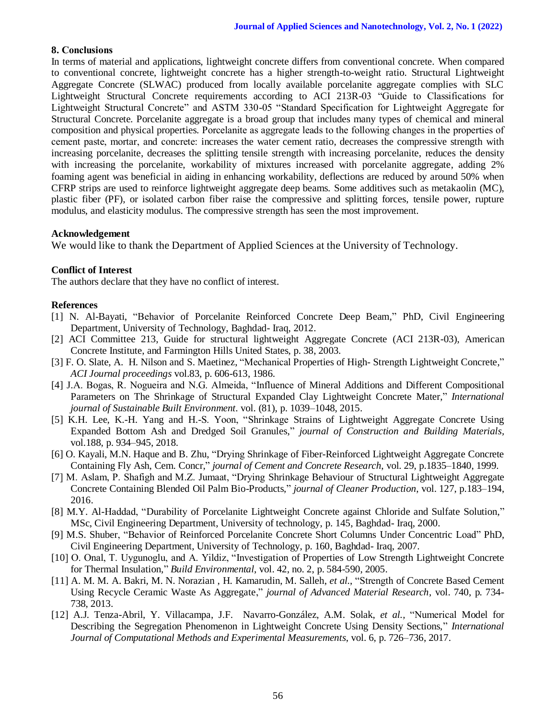# **8. Conclusions**

In terms of material and applications, lightweight concrete differs from conventional concrete. When compared to conventional concrete, lightweight concrete has a higher strength-to-weight ratio. Structural Lightweight Aggregate Concrete (SLWAC) produced from locally available porcelanite aggregate complies with SLC Lightweight Structural Concrete requirements according to ACI 213R-03 "Guide to Classifications for Lightweight Structural Concrete" and ASTM 330-05 "Standard Specification for Lightweight Aggregate for Structural Concrete. Porcelanite aggregate is a broad group that includes many types of chemical and mineral composition and physical properties. Porcelanite as aggregate leads to the following changes in the properties of cement paste, mortar, and concrete: increases the water cement ratio, decreases the compressive strength with increasing porcelanite, decreases the splitting tensile strength with increasing porcelanite, reduces the density with increasing the porcelanite, workability of mixtures increased with porcelanite aggregate, adding 2% foaming agent was beneficial in aiding in enhancing workability, deflections are reduced by around 50% when CFRP strips are used to reinforce lightweight aggregate deep beams. Some additives such as metakaolin (MC), plastic fiber (PF), or isolated carbon fiber raise the compressive and splitting forces, tensile power, rupture modulus, and elasticity modulus. The compressive strength has seen the most improvement.

# **Acknowledgement**

We would like to thank the Department of Applied Sciences at the University of Technology.

# **Conflict of Interest**

The authors declare that they have no conflict of interest.

# **References**

- [1] N. Al-Bayati, "Behavior of Porcelanite Reinforced Concrete Deep Beam," PhD, Civil Engineering Department, University of Technology, Baghdad- Iraq, 2012.
- [2] ACI Committee 213, Guide for structural lightweight Aggregate Concrete (ACI 213R-03), American Concrete Institute, and Farmington Hills United States, p. 38, 2003.
- [3] F. O. Slate, A. H. Nilson and S. Maetinez, "Mechanical Properties of High- Strength Lightweight Concrete," *ACI Journal proceedings* vol.83, p. 606-613, 1986.
- [4] J.A. Bogas, R. Nogueira and N.G. Almeida, "Influence of Mineral Additions and Different Compositional Parameters on The Shrinkage of Structural Expanded Clay Lightweight Concrete Mater," *International journal of Sustainable Built Environment.* vol. (81), p. 1039–1048, 2015.
- [5] K.H. Lee, K.-H. Yang and H.-S. Yoon, "Shrinkage Strains of Lightweight Aggregate Concrete Using Expanded Bottom Ash and Dredged Soil Granules," *journal of Construction and Building Materials,* vol.188, p. 934–945, 2018.
- [6] O. Kayali, M.N. Haque and B. Zhu, "Drying Shrinkage of Fiber-Reinforced Lightweight Aggregate Concrete Containing Fly Ash, Cem. Concr," *journal of Cement and Concrete Research*, vol. 29, p.1835–1840, 1999.
- [7] M. Aslam, P. Shafigh and M.Z. Jumaat, "Drying Shrinkage Behaviour of Structural Lightweight Aggregate Concrete Containing Blended Oil Palm Bio-Products," *journal of Cleaner Production*, vol. 127, p.183–194, 2016.
- [8] M.Y. Al-Haddad, "Durability of Porcelanite Lightweight Concrete against Chloride and Sulfate Solution," MSc, Civil Engineering Department, University of technology, p. 145, Baghdad- Iraq, 2000.
- [9] M.S. Shuber, "Behavior of Reinforced Porcelanite Concrete Short Columns Under Concentric Load" PhD, Civil Engineering Department, University of Technology, p. 160, Baghdad- Iraq, 2007.
- [10] O. Onal, T. Uygunoglu, and A. Yildiz, "Investigation of Properties of Low Strength Lightweight Concrete for Thermal Insulation," *Build Environmental*, vol. 42, no. 2, p. 584-590, 2005.
- [11] A. M. M. A. Bakri, M. N. Norazian , H. Kamarudin, M. Salleh, *et al.*, "Strength of Concrete Based Cement Using Recycle Ceramic Waste As Aggregate," *journal of Advanced Material Research*, vol. 740, p. 734- 738, 2013.
- [12] A.J. Tenza-Abril, Y. Villacampa, J.F. Navarro-González, A.M. Solak, *et al.,* "Numerical Model for Describing the Segregation Phenomenon in Lightweight Concrete Using Density Sections," *International Journal of Computational Methods and Experimental Measurements*, vol. 6, p. 726–736, 2017.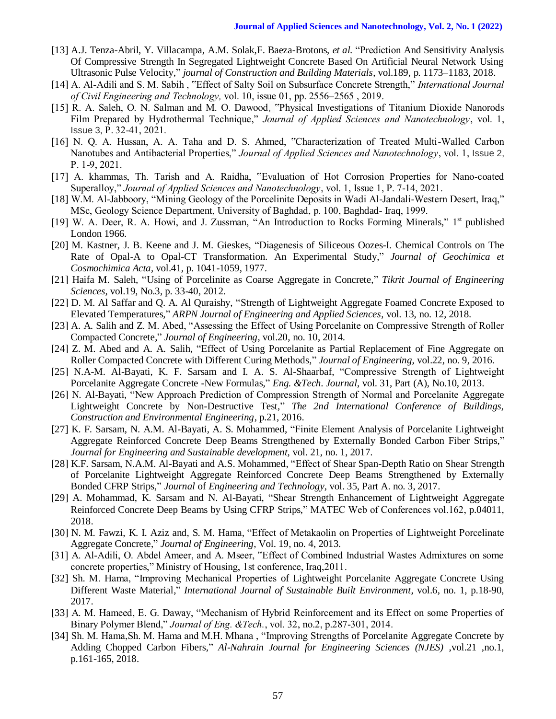- [13] A.J. Tenza-Abril, Y. Villacampa, A.M. Solak,F. Baeza-Brotons, *et al.* "Prediction And Sensitivity Analysis Of Compressive Strength In Segregated Lightweight Concrete Based On Artificial Neural Network Using Ultrasonic Pulse Velocity," *journal of Construction and Building Materials*, vol.189, p. 1173–1183, 2018.
- [14] A. Al-Adili and S. M. Sabih , "Effect of Salty Soil on Subsurface Concrete Strength," *International Journal of Civil Engineering and Technology,* vol. 10, issue 01, pp. 2556–2565 , 2019.
- [15] R. A. Saleh, O. N. Salman and M. O. Dawood, "Physical Investigations of Titanium Dioxide Nanorods Film Prepared by Hydrothermal Technique," *Journal of Applied Sciences and Nanotechnology*, vol. 1, Issue 3, P. 32-41, 2021.
- [16] N. Q. A. Hussan, A. A. Taha and D. S. Ahmed, "Characterization of Treated Multi-Walled Carbon Nanotubes and Antibacterial Properties," *Journal of Applied Sciences and Nanotechnology*, vol. 1, Issue 2, P. 1-9, 2021.
- [17] A. khammas, Th. Tarish and A. Raidha, "Evaluation of Hot Corrosion Properties for Nano-coated Superalloy," *Journal of Applied Sciences and Nanotechnology*, vol. 1, Issue 1, P. 7-14, 2021.
- [18] W.M. Al-Jabboory, "Mining Geology of the Porcelinite Deposits in Wadi Al-Jandali-Western Desert, Iraq," MSc, Geology Science Department, University of Baghdad, p. 100, Baghdad- Iraq, 1999.
- [19] W. A. Deer, R. A. Howi, and J. Zussman, "An Introduction to Rocks Forming Minerals," 1<sup>st</sup> published London 1966.
- [20] M. Kastner, J. B. Keene and J. M. Gieskes, "Diagenesis of Siliceous Oozes-I. Chemical Controls on The Rate of Opal-A to Opal-CT Transformation. An Experimental Study," *Journal of Geochimica et Cosmochimica Acta*, vol.41, p. 1041-1059, 1977.
- [21] Haifa M. Saleh, "Using of Porcelinite as Coarse Aggregate in Concrete," *Tikrit Journal of Engineering Sciences*, vol.19, No.3, p. 33-40, 2012.
- [22] D. M. Al Saffar and Q. A. Al Quraishy, "Strength of Lightweight Aggregate Foamed Concrete Exposed to Elevated Temperatures," *ARPN Journal of Engineering and Applied Sciences*, vol. 13, no. 12, 2018.
- [23] A. A. Salih and Z. M. Abed, "Assessing the Effect of Using Porcelanite on Compressive Strength of Roller Compacted Concrete," *Journal of Engineering*, vol.20, no. 10, 2014.
- [24] Z. M. Abed and A. A. Salih, "Effect of Using Porcelanite as Partial Replacement of Fine Aggregate on Roller Compacted Concrete with Different Curing Methods," *Journal of Engineering*, vol.22, no. 9, 2016.
- [25] N.A-M. Al-Bayati, K. F. Sarsam and I. A. S. Al-Shaarbaf, "Compressive Strength of Lightweight Porcelanite Aggregate Concrete -New Formulas," *Eng. &Tech. Journal*, vol. 31, Part (A), No.10, 2013.
- [26] N. Al-Bayati, "New Approach Prediction of Compression Strength of Normal and Porcelanite Aggregate Lightweight Concrete by Non-Destructive Test," *The 2nd International Conference of Buildings, Construction and Environmental Engineering*, p.21, 2016.
- [27] K. F. Sarsam, N. A.M. Al-Bayati, A. S. Mohammed, "Finite Element Analysis of Porcelanite Lightweight Aggregate Reinforced Concrete Deep Beams Strengthened by Externally Bonded Carbon Fiber Strips," *Journal for Engineering and Sustainable development*, vol. 21, no. 1, 2017.
- [28] K.F. Sarsam, N.A.M. Al-Bayati and A.S. Mohammed, "Effect of Shear Span-Depth Ratio on Shear Strength of Porcelanite Lightweight Aggregate Reinforced Concrete Deep Beams Strengthened by Externally Bonded CFRP Strips," *Journal* of *Engineering and Technology*, vol. 35, Part A. no. 3, 2017.
- [29] A. Mohammad, K. Sarsam and N. Al-Bayati, "Shear Strength Enhancement of Lightweight Aggregate Reinforced Concrete Deep Beams by Using CFRP Strips," MATEC Web of Conferences vol.162, p.04011, 2018.
- [30] N. M. Fawzi, K. I. Aziz and, S. M. Hama, "Effect of Metakaolin on Properties of Lightweight Porcelinate Aggregate Concrete," *Journal of Engineering*, Vol. 19, no. 4, 2013.
- [31] A. Al-Adili, O. Abdel Ameer, and A. Mseer, "Effect of Combined Industrial Wastes Admixtures on some concrete properties," Ministry of Housing, 1st conference, Iraq,2011.
- [32] Sh. M. Hama, "Improving Mechanical Properties of Lightweight Porcelanite Aggregate Concrete Using Different Waste Material," *International Journal of Sustainable Built Environment*, vol.6, no. 1, p.18-90, 2017.
- [33] A. M. Hameed, E. G. Daway, "Mechanism of Hybrid Reinforcement and its Effect on some Properties of Binary Polymer Blend," *Journal of Eng. &Tech.*, vol. 32, no.2, p.287-301, 2014.
- [34] Sh. M. Hama, Sh. M. Hama and M.H. Mhana, "Improving Strengths of Porcelanite Aggregate Concrete by Adding Chopped Carbon Fibers," *Al-Nahrain Journal for Engineering Sciences (NJES)* ,vol.21 ,no.1, p.161-165, 2018.